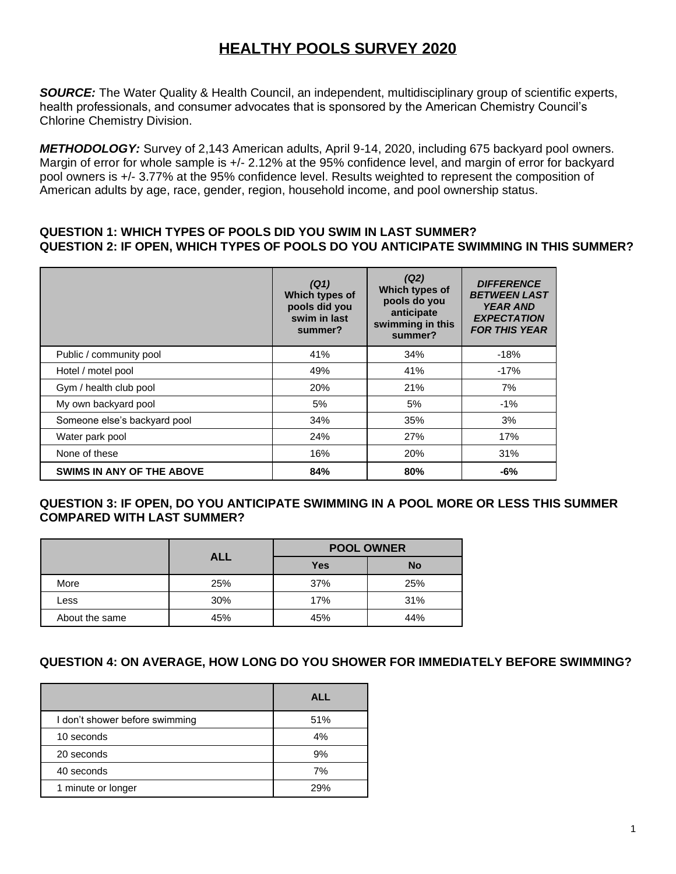# **HEALTHY POOLS SURVEY 2020**

*SOURCE:* The Water Quality & Health Council, an independent, multidisciplinary group of scientific experts, health professionals, and consumer advocates that is sponsored by the American Chemistry Council's Chlorine Chemistry Division.

*METHODOLOGY:* Survey of 2,143 American adults, April 9-14, 2020, including 675 backyard pool owners. Margin of error for whole sample is +/- 2.12% at the 95% confidence level, and margin of error for backyard pool owners is +/- 3.77% at the 95% confidence level. Results weighted to represent the composition of American adults by age, race, gender, region, household income, and pool ownership status.

#### **QUESTION 1: WHICH TYPES OF POOLS DID YOU SWIM IN LAST SUMMER? QUESTION 2: IF OPEN, WHICH TYPES OF POOLS DO YOU ANTICIPATE SWIMMING IN THIS SUMMER?**

|                                  | (Q1)<br>Which types of<br>pools did you<br>swim in last<br>summer? | (Q2)<br>Which types of<br>pools do you<br>anticipate<br>swimming in this<br>summer? | <b>DIFFERENCE</b><br><b>BETWEEN LAST</b><br><b>YEAR AND</b><br><b>EXPECTATION</b><br><b>FOR THIS YEAR</b> |
|----------------------------------|--------------------------------------------------------------------|-------------------------------------------------------------------------------------|-----------------------------------------------------------------------------------------------------------|
| Public / community pool          | 41%                                                                | 34%                                                                                 | $-18%$                                                                                                    |
| Hotel / motel pool               | 49%                                                                | 41%                                                                                 | $-17%$                                                                                                    |
| Gym / health club pool           | 20%                                                                | 21%                                                                                 | 7%                                                                                                        |
| My own backyard pool             | 5%                                                                 | 5%                                                                                  | $-1%$                                                                                                     |
| Someone else's backyard pool     | 34%                                                                | 35%                                                                                 | 3%                                                                                                        |
| Water park pool                  | 24%                                                                | 27%                                                                                 | 17%                                                                                                       |
| None of these                    | 16%                                                                | 20%                                                                                 | 31%                                                                                                       |
| <b>SWIMS IN ANY OF THE ABOVE</b> | 84%                                                                | 80%                                                                                 | -6%                                                                                                       |

## **QUESTION 3: IF OPEN, DO YOU ANTICIPATE SWIMMING IN A POOL MORE OR LESS THIS SUMMER COMPARED WITH LAST SUMMER?**

|                | <b>ALL</b> | <b>POOL OWNER</b> |           |  |
|----------------|------------|-------------------|-----------|--|
|                |            | <b>Yes</b>        | <b>No</b> |  |
| More           | 25%        | 37%               | 25%       |  |
| Less           | 30%        | 17%               | 31%       |  |
| About the same | 45%        | 45%               | 44%       |  |

## **QUESTION 4: ON AVERAGE, HOW LONG DO YOU SHOWER FOR IMMEDIATELY BEFORE SWIMMING?**

|                                | <b>ALL</b> |
|--------------------------------|------------|
| I don't shower before swimming | 51%        |
| 10 seconds                     | 4%         |
| 20 seconds                     | 9%         |
| 40 seconds                     | 7%         |
| 1 minute or longer             | 29%        |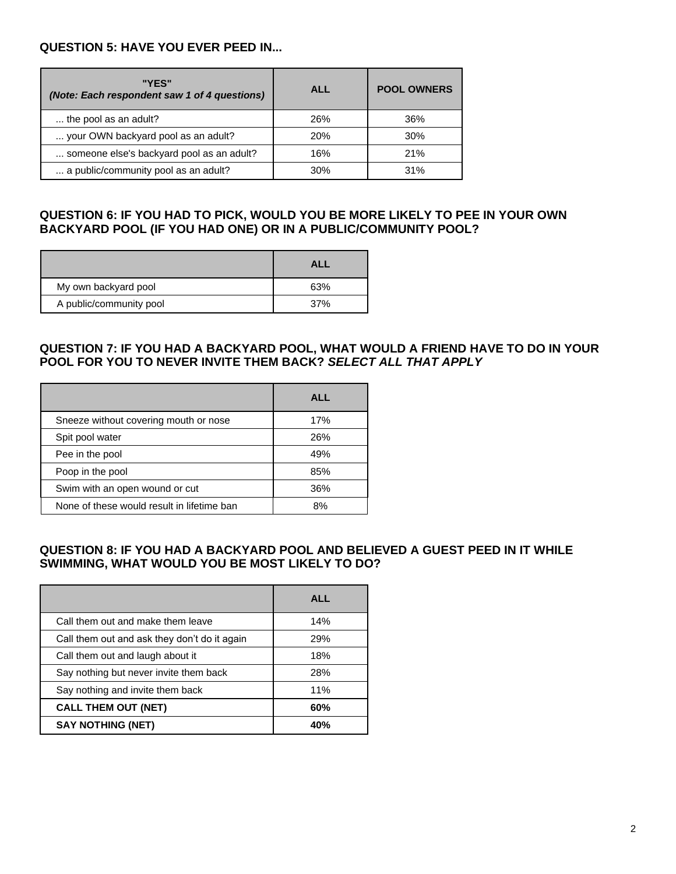#### **QUESTION 5: HAVE YOU EVER PEED IN...**

| "YES"<br>(Note: Each respondent saw 1 of 4 questions) | ALL        | <b>POOL OWNERS</b> |
|-------------------------------------------------------|------------|--------------------|
| the pool as an adult?                                 | 26%        | 36%                |
| your OWN backyard pool as an adult?                   | <b>20%</b> | 30%                |
| someone else's backyard pool as an adult?             | 16%        | 21%                |
| a public/community pool as an adult?                  | 30%        | 31%                |

### **QUESTION 6: IF YOU HAD TO PICK, WOULD YOU BE MORE LIKELY TO PEE IN YOUR OWN BACKYARD POOL (IF YOU HAD ONE) OR IN A PUBLIC/COMMUNITY POOL?**

|                         | AI I |
|-------------------------|------|
| My own backyard pool    | 63%  |
| A public/community pool | 37%  |

#### **QUESTION 7: IF YOU HAD A BACKYARD POOL, WHAT WOULD A FRIEND HAVE TO DO IN YOUR POOL FOR YOU TO NEVER INVITE THEM BACK?** *SELECT ALL THAT APPLY*

|                                            | <b>ALL</b> |
|--------------------------------------------|------------|
| Sneeze without covering mouth or nose      | 17%        |
| Spit pool water                            | 26%        |
| Pee in the pool                            | 49%        |
| Poop in the pool                           | 85%        |
| Swim with an open wound or cut             | 36%        |
| None of these would result in lifetime ban | 8%         |

#### **QUESTION 8: IF YOU HAD A BACKYARD POOL AND BELIEVED A GUEST PEED IN IT WHILE SWIMMING, WHAT WOULD YOU BE MOST LIKELY TO DO?**

|                                              | <b>ALL</b> |
|----------------------------------------------|------------|
| Call them out and make them leave            | 14%        |
| Call them out and ask they don't do it again | 29%        |
| Call them out and laugh about it             | 18%        |
| Say nothing but never invite them back       | 28%        |
| Say nothing and invite them back             | 11%        |
| <b>CALL THEM OUT (NET)</b>                   | 60%        |
| <b>SAY NOTHING (NET)</b>                     | 40%        |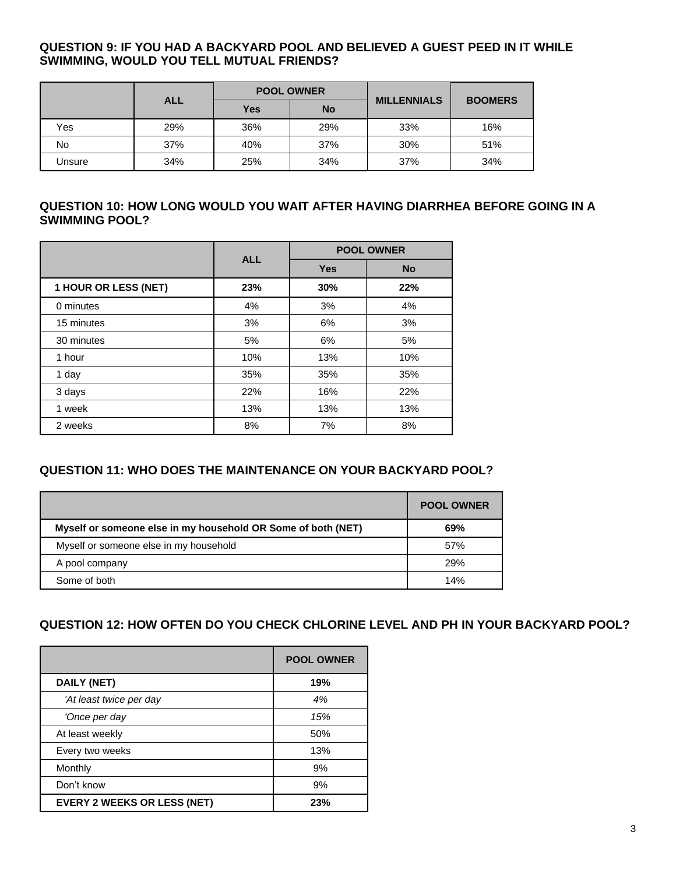#### **QUESTION 9: IF YOU HAD A BACKYARD POOL AND BELIEVED A GUEST PEED IN IT WHILE SWIMMING, WOULD YOU TELL MUTUAL FRIENDS?**

|        |            |     | <b>POOL OWNER</b> | <b>MILLENNIALS</b> |                |
|--------|------------|-----|-------------------|--------------------|----------------|
|        | <b>ALL</b> | Yes | <b>No</b>         |                    | <b>BOOMERS</b> |
| Yes    | 29%        | 36% | 29%               | 33%                | 16%            |
| No     | 37%        | 40% | 37%               | 30%                | 51%            |
| Unsure | 34%        | 25% | 34%               | 37%                | 34%            |

#### **QUESTION 10: HOW LONG WOULD YOU WAIT AFTER HAVING DIARRHEA BEFORE GOING IN A SWIMMING POOL?**

|                      | <b>ALL</b> | <b>POOL OWNER</b> |           |  |
|----------------------|------------|-------------------|-----------|--|
|                      |            | <b>Yes</b>        | <b>No</b> |  |
| 1 HOUR OR LESS (NET) | 23%        | 30%               | 22%       |  |
| 0 minutes            | 4%         | 3%                | 4%        |  |
| 15 minutes           | 3%         | 6%                | 3%        |  |
| 30 minutes           | 5%         | 6%                | 5%        |  |
| 1 hour               | 10%        | 13%               | 10%       |  |
| 1 day                | 35%        | 35%               | 35%       |  |
| 3 days               | 22%        | 16%               | 22%       |  |
| 1 week               | 13%        | 13%               | 13%       |  |
| 2 weeks              | 8%         | 7%                | 8%        |  |

## **QUESTION 11: WHO DOES THE MAINTENANCE ON YOUR BACKYARD POOL?**

|                                                              | <b>POOL OWNER</b> |
|--------------------------------------------------------------|-------------------|
| Myself or someone else in my household OR Some of both (NET) | 69%               |
| Myself or someone else in my household                       | 57%               |
| A pool company                                               | 29%               |
| Some of both                                                 | 14%               |

## **QUESTION 12: HOW OFTEN DO YOU CHECK CHLORINE LEVEL AND PH IN YOUR BACKYARD POOL?**

|                                    | <b>POOL OWNER</b> |
|------------------------------------|-------------------|
| <b>DAILY (NET)</b>                 | 19%               |
| 'At least twice per day            | 4%                |
| 'Once per day                      | 15%               |
| At least weekly                    | 50%               |
| Every two weeks                    | 13%               |
| Monthly                            | 9%                |
| Don't know                         | 9%                |
| <b>EVERY 2 WEEKS OR LESS (NET)</b> | 23%               |